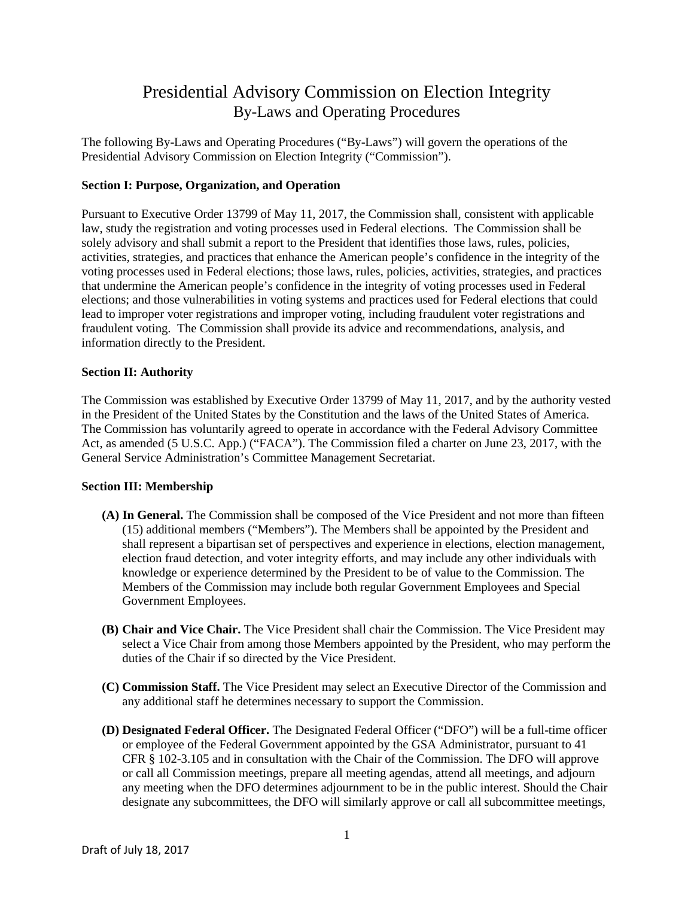# Presidential Advisory Commission on Election Integrity By-Laws and Operating Procedures

The following By-Laws and Operating Procedures ("By-Laws") will govern the operations of the Presidential Advisory Commission on Election Integrity ("Commission").

### **Section I: Purpose, Organization, and Operation**

Pursuant to Executive Order 13799 of May 11, 2017, the Commission shall, consistent with applicable law, study the registration and voting processes used in Federal elections. The Commission shall be solely advisory and shall submit a report to the President that identifies those laws, rules, policies, activities, strategies, and practices that enhance the American people's confidence in the integrity of the voting processes used in Federal elections; those laws, rules, policies, activities, strategies, and practices that undermine the American people's confidence in the integrity of voting processes used in Federal elections; and those vulnerabilities in voting systems and practices used for Federal elections that could lead to improper voter registrations and improper voting, including fraudulent voter registrations and fraudulent voting. The Commission shall provide its advice and recommendations, analysis, and information directly to the President.

#### **Section II: Authority**

The Commission was established by Executive Order 13799 of May 11, 2017, and by the authority vested in the President of the United States by the Constitution and the laws of the United States of America. The Commission has voluntarily agreed to operate in accordance with the Federal Advisory Committee Act, as amended (5 U.S.C. App.) ("FACA"). The Commission filed a charter on June 23, 2017, with the General Service Administration's Committee Management Secretariat.

## **Section III: Membership**

- **(A) In General.** The Commission shall be composed of the Vice President and not more than fifteen (15) additional members ("Members"). The Members shall be appointed by the President and shall represent a bipartisan set of perspectives and experience in elections, election management, election fraud detection, and voter integrity efforts, and may include any other individuals with knowledge or experience determined by the President to be of value to the Commission. The Members of the Commission may include both regular Government Employees and Special Government Employees.
- **(B) Chair and Vice Chair.** The Vice President shall chair the Commission. The Vice President may select a Vice Chair from among those Members appointed by the President, who may perform the duties of the Chair if so directed by the Vice President.
- **(C) Commission Staff.** The Vice President may select an Executive Director of the Commission and any additional staff he determines necessary to support the Commission.
- **(D) Designated Federal Officer.** The Designated Federal Officer ("DFO") will be a full-time officer or employee of the Federal Government appointed by the GSA Administrator, pursuant to 41 CFR § 102-3.105 and in consultation with the Chair of the Commission. The DFO will approve or call all Commission meetings, prepare all meeting agendas, attend all meetings, and adjourn any meeting when the DFO determines adjournment to be in the public interest. Should the Chair designate any subcommittees, the DFO will similarly approve or call all subcommittee meetings,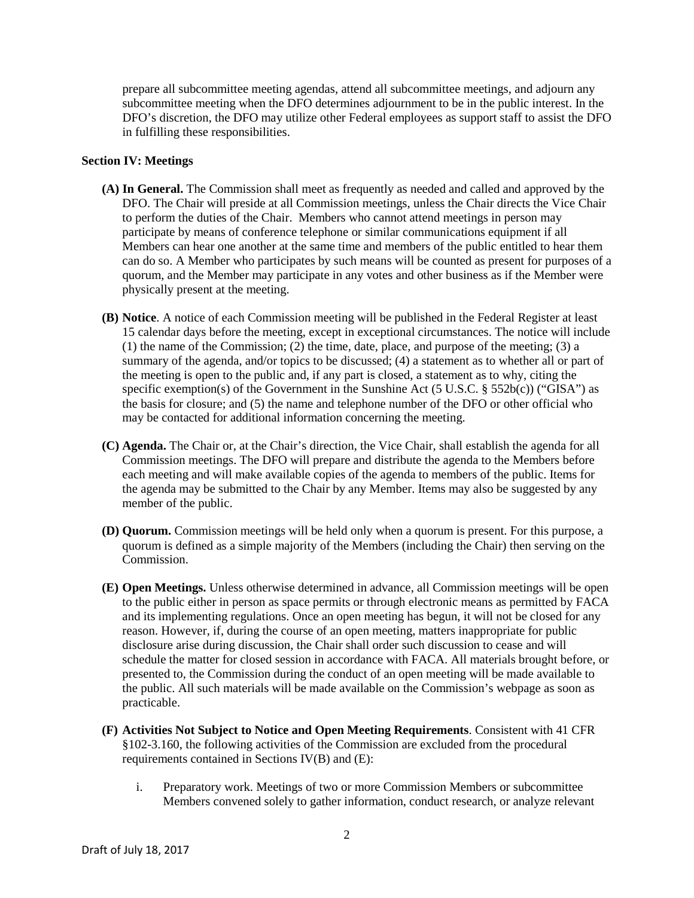prepare all subcommittee meeting agendas, attend all subcommittee meetings, and adjourn any subcommittee meeting when the DFO determines adjournment to be in the public interest. In the DFO's discretion, the DFO may utilize other Federal employees as support staff to assist the DFO in fulfilling these responsibilities.

#### **Section IV: Meetings**

- **(A) In General.** The Commission shall meet as frequently as needed and called and approved by the DFO. The Chair will preside at all Commission meetings, unless the Chair directs the Vice Chair to perform the duties of the Chair. Members who cannot attend meetings in person may participate by means of conference telephone or similar communications equipment if all Members can hear one another at the same time and members of the public entitled to hear them can do so. A Member who participates by such means will be counted as present for purposes of a quorum, and the Member may participate in any votes and other business as if the Member were physically present at the meeting.
- **(B) Notice**. A notice of each Commission meeting will be published in the Federal Register at least 15 calendar days before the meeting, except in exceptional circumstances. The notice will include (1) the name of the Commission; (2) the time, date, place, and purpose of the meeting; (3) a summary of the agenda, and/or topics to be discussed; (4) a statement as to whether all or part of the meeting is open to the public and, if any part is closed, a statement as to why, citing the specific exemption(s) of the Government in the Sunshine Act (5 U.S.C.  $\S$  552b(c)) ("GISA") as the basis for closure; and (5) the name and telephone number of the DFO or other official who may be contacted for additional information concerning the meeting.
- **(C) Agenda.** The Chair or, at the Chair's direction, the Vice Chair, shall establish the agenda for all Commission meetings. The DFO will prepare and distribute the agenda to the Members before each meeting and will make available copies of the agenda to members of the public. Items for the agenda may be submitted to the Chair by any Member. Items may also be suggested by any member of the public.
- **(D) Quorum.** Commission meetings will be held only when a quorum is present. For this purpose, a quorum is defined as a simple majority of the Members (including the Chair) then serving on the Commission.
- **(E) Open Meetings.** Unless otherwise determined in advance, all Commission meetings will be open to the public either in person as space permits or through electronic means as permitted by FACA and its implementing regulations. Once an open meeting has begun, it will not be closed for any reason. However, if, during the course of an open meeting, matters inappropriate for public disclosure arise during discussion, the Chair shall order such discussion to cease and will schedule the matter for closed session in accordance with FACA. All materials brought before, or presented to, the Commission during the conduct of an open meeting will be made available to the public. All such materials will be made available on the Commission's webpage as soon as practicable.
- **(F) Activities Not Subject to Notice and Open Meeting Requirements**. Consistent with 41 CFR §102-3.160, the following activities of the Commission are excluded from the procedural requirements contained in Sections IV(B) and (E):
	- i. Preparatory work. Meetings of two or more Commission Members or subcommittee Members convened solely to gather information, conduct research, or analyze relevant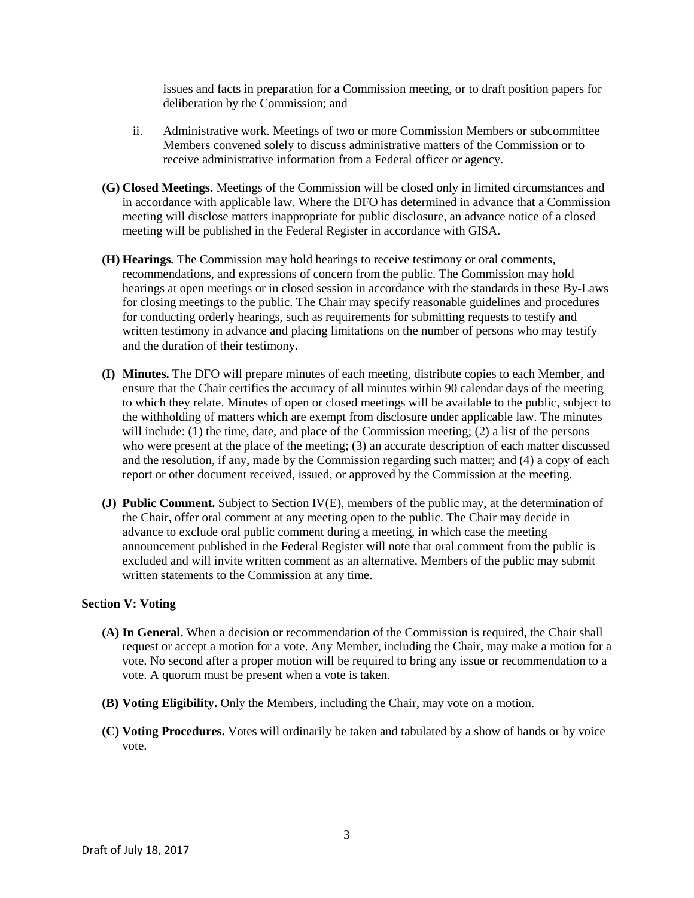issues and facts in preparation for a Commission meeting, or to draft position papers for deliberation by the Commission; and

- ii. Administrative work. Meetings of two or more Commission Members or subcommittee Members convened solely to discuss administrative matters of the Commission or to receive administrative information from a Federal officer or agency.
- **(G) Closed Meetings.** Meetings of the Commission will be closed only in limited circumstances and in accordance with applicable law. Where the DFO has determined in advance that a Commission meeting will disclose matters inappropriate for public disclosure, an advance notice of a closed meeting will be published in the Federal Register in accordance with GISA.
- **(H) Hearings.** The Commission may hold hearings to receive testimony or oral comments, recommendations, and expressions of concern from the public. The Commission may hold hearings at open meetings or in closed session in accordance with the standards in these By-Laws for closing meetings to the public. The Chair may specify reasonable guidelines and procedures for conducting orderly hearings, such as requirements for submitting requests to testify and written testimony in advance and placing limitations on the number of persons who may testify and the duration of their testimony.
- **(I) Minutes.** The DFO will prepare minutes of each meeting, distribute copies to each Member, and ensure that the Chair certifies the accuracy of all minutes within 90 calendar days of the meeting to which they relate. Minutes of open or closed meetings will be available to the public, subject to the withholding of matters which are exempt from disclosure under applicable law. The minutes will include: (1) the time, date, and place of the Commission meeting; (2) a list of the persons who were present at the place of the meeting; (3) an accurate description of each matter discussed and the resolution, if any, made by the Commission regarding such matter; and (4) a copy of each report or other document received, issued, or approved by the Commission at the meeting.
- **(J) Public Comment.** Subject to Section IV(E), members of the public may, at the determination of the Chair, offer oral comment at any meeting open to the public. The Chair may decide in advance to exclude oral public comment during a meeting, in which case the meeting announcement published in the Federal Register will note that oral comment from the public is excluded and will invite written comment as an alternative. Members of the public may submit written statements to the Commission at any time.

#### **Section V: Voting**

- **(A) In General.** When a decision or recommendation of the Commission is required, the Chair shall request or accept a motion for a vote. Any Member, including the Chair, may make a motion for a vote. No second after a proper motion will be required to bring any issue or recommendation to a vote. A quorum must be present when a vote is taken.
- **(B) Voting Eligibility.** Only the Members, including the Chair, may vote on a motion.
- **(C) Voting Procedures.** Votes will ordinarily be taken and tabulated by a show of hands or by voice vote.